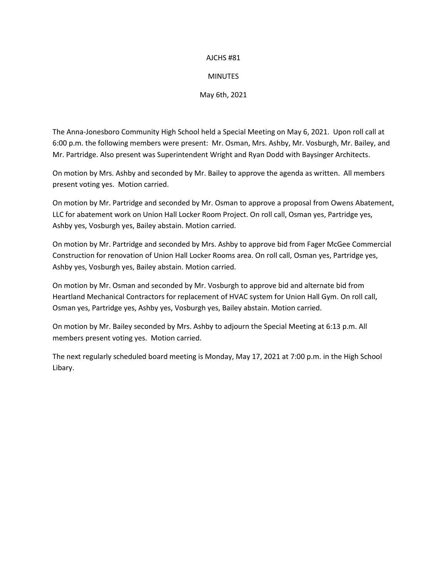## AJCHS #81

## MINUTES

May 6th, 2021

The Anna-Jonesboro Community High School held a Special Meeting on May 6, 2021. Upon roll call at 6:00 p.m. the following members were present: Mr. Osman, Mrs. Ashby, Mr. Vosburgh, Mr. Bailey, and Mr. Partridge. Also present was Superintendent Wright and Ryan Dodd with Baysinger Architects.

On motion by Mrs. Ashby and seconded by Mr. Bailey to approve the agenda as written. All members present voting yes. Motion carried.

On motion by Mr. Partridge and seconded by Mr. Osman to approve a proposal from Owens Abatement, LLC for abatement work on Union Hall Locker Room Project. On roll call, Osman yes, Partridge yes, Ashby yes, Vosburgh yes, Bailey abstain. Motion carried.

On motion by Mr. Partridge and seconded by Mrs. Ashby to approve bid from Fager McGee Commercial Construction for renovation of Union Hall Locker Rooms area. On roll call, Osman yes, Partridge yes, Ashby yes, Vosburgh yes, Bailey abstain. Motion carried.

On motion by Mr. Osman and seconded by Mr. Vosburgh to approve bid and alternate bid from Heartland Mechanical Contractors for replacement of HVAC system for Union Hall Gym. On roll call, Osman yes, Partridge yes, Ashby yes, Vosburgh yes, Bailey abstain. Motion carried.

On motion by Mr. Bailey seconded by Mrs. Ashby to adjourn the Special Meeting at 6:13 p.m. All members present voting yes. Motion carried.

The next regularly scheduled board meeting is Monday, May 17, 2021 at 7:00 p.m. in the High School Libary.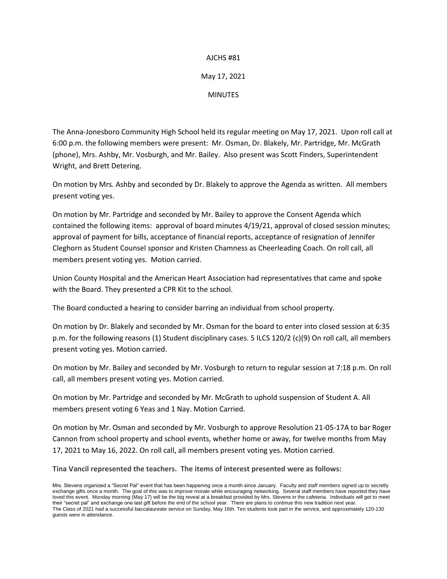## AJCHS #81

## May 17, 2021

MINUTES

The Anna-Jonesboro Community High School held its regular meeting on May 17, 2021. Upon roll call at 6:00 p.m. the following members were present: Mr. Osman, Dr. Blakely, Mr. Partridge, Mr. McGrath (phone), Mrs. Ashby, Mr. Vosburgh, and Mr. Bailey. Also present was Scott Finders, Superintendent Wright, and Brett Detering.

On motion by Mrs. Ashby and seconded by Dr. Blakely to approve the Agenda as written. All members present voting yes.

On motion by Mr. Partridge and seconded by Mr. Bailey to approve the Consent Agenda which contained the following items: approval of board minutes 4/19/21, approval of closed session minutes; approval of payment for bills, acceptance of financial reports, acceptance of resignation of Jennifer Cleghorn as Student Counsel sponsor and Kristen Chamness as Cheerleading Coach. On roll call, all members present voting yes. Motion carried.

Union County Hospital and the American Heart Association had representatives that came and spoke with the Board. They presented a CPR Kit to the school.

The Board conducted a hearing to consider barring an individual from school property.

On motion by Dr. Blakely and seconded by Mr. Osman for the board to enter into closed session at 6:35 p.m. for the following reasons (1) Student disciplinary cases. 5 ILCS 120/2 (c)(9) On roll call, all members present voting yes. Motion carried.

On motion by Mr. Bailey and seconded by Mr. Vosburgh to return to regular session at 7:18 p.m. On roll call, all members present voting yes. Motion carried.

On motion by Mr. Partridge and seconded by Mr. McGrath to uphold suspension of Student A. All members present voting 6 Yeas and 1 Nay. Motion Carried.

On motion by Mr. Osman and seconded by Mr. Vosburgh to approve Resolution 21-05-17A to bar Roger Cannon from school property and school events, whether home or away, for twelve months from May 17, 2021 to May 16, 2022. On roll call, all members present voting yes. Motion carried.

**Tina Vancil represented the teachers. The items of interest presented were as follows:**

Mrs. Stevens organized a "Secret Pal" event that has been happening once a month since January. Faculty and staff members signed up to secretly exchange gifts once a month. The goal of this was to improve morale while encouraging networking. Several staff members have reported they have loved this event. Monday morning (May 17) will be the big reveal at a breakfast provided by Mrs. Stevens in the cafeteria. Individuals will get to meet their "secret pal" and exchange one last gift before the end of the school year. There are plans to continue this new tradition next year. The Class of 2021 had a successful baccalaureate service on Sunday, May 16th. Ten students took part in the service, and approximately 120-130 guests were in attendance.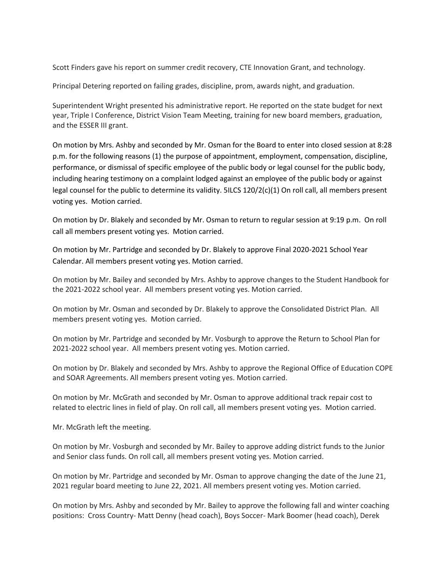Scott Finders gave his report on summer credit recovery, CTE Innovation Grant, and technology.

Principal Detering reported on failing grades, discipline, prom, awards night, and graduation.

Superintendent Wright presented his administrative report. He reported on the state budget for next year, Triple I Conference, District Vision Team Meeting, training for new board members, graduation, and the ESSER III grant.

On motion by Mrs. Ashby and seconded by Mr. Osman for the Board to enter into closed session at 8:28 p.m. for the following reasons (1) the purpose of appointment, employment, compensation, discipline, performance, or dismissal of specific employee of the public body or legal counsel for the public body, including hearing testimony on a complaint lodged against an employee of the public body or against legal counsel for the public to determine its validity. 5ILCS 120/2(c)(1) On roll call, all members present voting yes. Motion carried.

On motion by Dr. Blakely and seconded by Mr. Osman to return to regular session at 9:19 p.m. On roll call all members present voting yes. Motion carried.

On motion by Mr. Partridge and seconded by Dr. Blakely to approve Final 2020-2021 School Year Calendar. All members present voting yes. Motion carried.

On motion by Mr. Bailey and seconded by Mrs. Ashby to approve changes to the Student Handbook for the 2021-2022 school year. All members present voting yes. Motion carried.

On motion by Mr. Osman and seconded by Dr. Blakely to approve the Consolidated District Plan. All members present voting yes. Motion carried.

On motion by Mr. Partridge and seconded by Mr. Vosburgh to approve the Return to School Plan for 2021-2022 school year. All members present voting yes. Motion carried.

On motion by Dr. Blakely and seconded by Mrs. Ashby to approve the Regional Office of Education COPE and SOAR Agreements. All members present voting yes. Motion carried.

On motion by Mr. McGrath and seconded by Mr. Osman to approve additional track repair cost to related to electric lines in field of play. On roll call, all members present voting yes. Motion carried.

Mr. McGrath left the meeting.

On motion by Mr. Vosburgh and seconded by Mr. Bailey to approve adding district funds to the Junior and Senior class funds. On roll call, all members present voting yes. Motion carried.

On motion by Mr. Partridge and seconded by Mr. Osman to approve changing the date of the June 21, 2021 regular board meeting to June 22, 2021. All members present voting yes. Motion carried.

On motion by Mrs. Ashby and seconded by Mr. Bailey to approve the following fall and winter coaching positions: Cross Country- Matt Denny (head coach), Boys Soccer- Mark Boomer (head coach), Derek